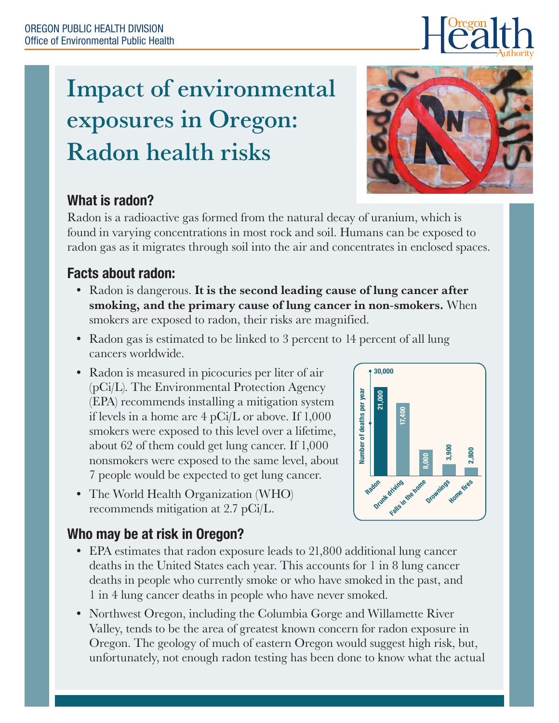# Impact of environmental exposures in Oregon: Radon health risks



## What is radon?

Radon is a radioactive gas formed from the natural decay of uranium, which is found in varying concentrations in most rock and soil. Humans can be exposed to radon gas as it migrates through soil into the air and concentrates in enclosed spaces.

## Facts about radon:

- Radon is dangerous. It is the second leading cause of lung cancer after smoking, and the primary cause of lung cancer in non-smokers. When smokers are exposed to radon, their risks are magnified.
- Radon gas is estimated to be linked to 3 percent to 14 percent of all lung cancers worldwide.
- Radon is measured in picocuries per liter of air (pCi/L). The Environmental Protection Agency (EPA) recommends installing a mitigation system if levels in a home are 4 pCi/L or above. If 1,000 smokers were exposed to this level over a lifetime, about 62 of them could get lung cancer. If 1,000 nonsmokers were exposed to the same level, about 7 people would be expected to get lung cancer.
- The World Health Organization (WHO) recommends mitigation at 2.7 pCi/L.



# Who may be at risk in Oregon?

- EPA estimates that radon exposure leads to 21,800 additional lung cancer deaths in the United States each year. This accounts for 1 in 8 lung cancer deaths in people who currently smoke or who have smoked in the past, and 1 in 4 lung cancer deaths in people who have never smoked.
- Northwest Oregon, including the Columbia Gorge and Willamette River Valley, tends to be the area of greatest known concern for radon exposure in Oregon. The geology of much of eastern Oregon would suggest high risk, but, unfortunately, not enough radon testing has been done to know what the actual

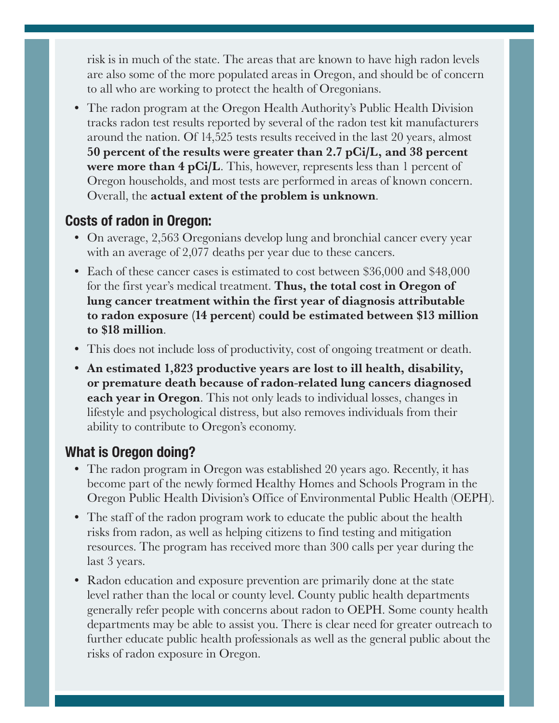risk is in much of the state. The areas that are known to have high radon levels are also some of the more populated areas in Oregon, and should be of concern to all who are working to protect the health of Oregonians.

• The radon program at the Oregon Health Authority's Public Health Division tracks radon test results reported by several of the radon test kit manufacturers around the nation. Of 14,525 tests results received in the last 20 years, almost 50 percent of the results were greater than 2.7 pCi/L, and 38 percent **were more than 4 pCi/L.** This, however, represents less than 1 percent of Oregon households, and most tests are performed in areas of known concern. Overall, the actual extent of the problem is unknown.

#### Costs of radon in Oregon:

- On average, 2,563 Oregonians develop lung and bronchial cancer every year with an average of 2,077 deaths per year due to these cancers.
- Each of these cancer cases is estimated to cost between \$36,000 and \$48,000 for the first year's medical treatment. **Thus, the total cost in Oregon of** lung cancer treatment within the first year of diagnosis attributable to radon exposure (14 percent) could be estimated between \$13 million to \$18 million.
- This does not include loss of productivity, cost of ongoing treatment or death.
- An estimated 1,823 productive years are lost to ill health, disability, or premature death because of radon-related lung cancers diagnosed **each year in Oregon.** This not only leads to individual losses, changes in lifestyle and psychological distress, but also removes individuals from their ability to contribute to Oregon's economy.

### What is Oregon doing?

- The radon program in Oregon was established 20 years ago. Recently, it has become part of the newly formed Healthy Homes and Schools Program in the Oregon Public Health Division's Office of Environmental Public Health (OEPH).
- The staff of the radon program work to educate the public about the health risks from radon, as well as helping citizens to find testing and mitigation resources. The program has received more than 300 calls per year during the last 3 years.
- Radon education and exposure prevention are primarily done at the state level rather than the local or county level. County public health departments generally refer people with concerns about radon to OEPH. Some county health departments may be able to assist you. There is clear need for greater outreach to further educate public health professionals as well as the general public about the risks of radon exposure in Oregon.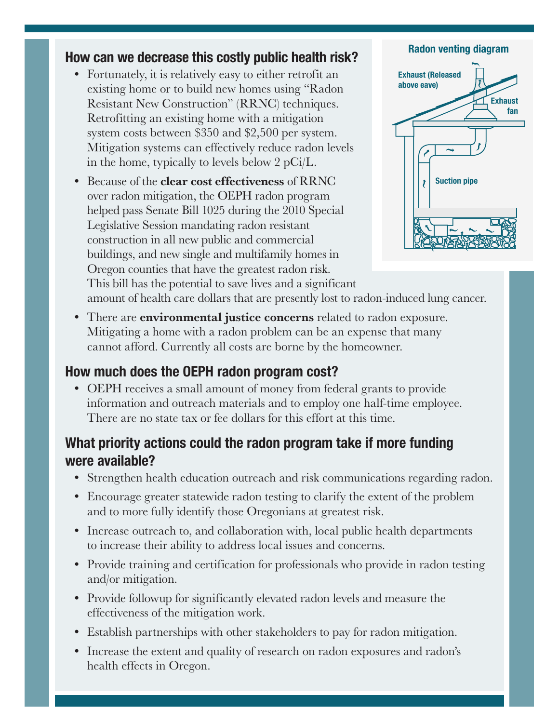#### How can we decrease this costly public health risk?

- Fortunately, it is relatively easy to either retrofit an existing home or to build new homes using "Radon Resistant New Construction" (RRNC) techniques. Retrofitting an existing home with a mitigation system costs between \$350 and \$2,500 per system. Mitigation systems can effectively reduce radon levels in the home, typically to levels below 2 pCi/L.
- Because of the **clear cost effectiveness** of RRNC over radon mitigation, the OEPH radon program helped pass Senate Bill 1025 during the 2010 Special Legislative Session mandating radon resistant construction in all new public and commercial buildings, and new single and multifamily homes in Oregon counties that have the greatest radon risk. This bill has the potential to save lives and a significant



amount of health care dollars that are presently lost to radon-induced lung cancer.

• There are **environmental justice concerns** related to radon exposure. Mitigating a home with a radon problem can be an expense that many cannot afford. Currently all costs are borne by the homeowner.

#### How much does the OEPH radon program cost?

• OEPH receives a small amount of money from federal grants to provide information and outreach materials and to employ one half-time employee. There are no state tax or fee dollars for this effort at this time.

#### What priority actions could the radon program take if more funding were available?

- Strengthen health education outreach and risk communications regarding radon.
- Encourage greater statewide radon testing to clarify the extent of the problem and to more fully identify those Oregonians at greatest risk.
- Increase outreach to, and collaboration with, local public health departments to increase their ability to address local issues and concerns.
- Provide training and certification for professionals who provide in radon testing and/or mitigation.
- Provide followup for significantly elevated radon levels and measure the effectiveness of the mitigation work.
- Establish partnerships with other stakeholders to pay for radon mitigation.
- Increase the extent and quality of research on radon exposures and radon's health effects in Oregon.

#### Radon venting diagram